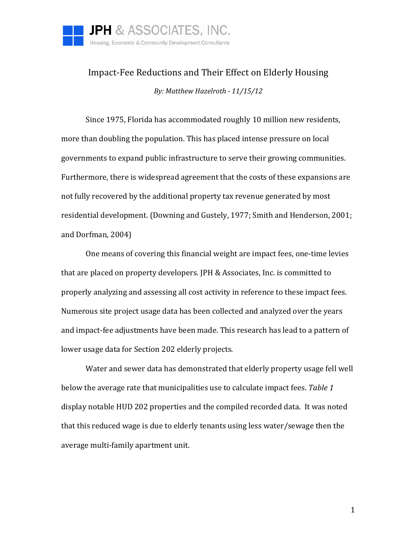

## Impact-Fee Reductions and Their Effect on Elderly Housing *By: Matthew Hazelroth - 11/15/12*

Since 1975, Florida has accommodated roughly 10 million new residents, more than doubling the population. This has placed intense pressure on local governments to expand public infrastructure to serve their growing communities. Furthermore, there is widespread agreement that the costs of these expansions are not fully recovered by the additional property tax revenue generated by most residential development. (Downing and Gustely, 1977; Smith and Henderson, 2001; and Dorfman, 2004)

One means of covering this financial weight are impact fees, one-time levies that are placed on property developers. JPH & Associates, Inc. is committed to properly analyzing and assessing all cost activity in reference to these impact fees. Numerous site project usage data has been collected and analyzed over the years and impact-fee adjustments have been made. This research has lead to a pattern of lower usage data for Section 202 elderly projects.

Water and sewer data has demonstrated that elderly property usage fell well below the average rate that municipalities use to calculate impact fees. *Table 1* display notable HUD 202 properties and the compiled recorded data. It was noted that this reduced wage is due to elderly tenants using less water/sewage then the average multi-family apartment unit.

1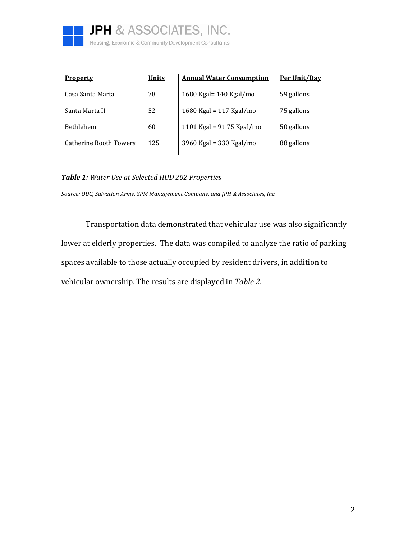

| <b>Property</b>               | <b>Units</b> | <b>Annual Water Consumption</b> | Per Unit/Day |
|-------------------------------|--------------|---------------------------------|--------------|
| Casa Santa Marta              | 78           | 1680 Kgal= 140 Kgal/mo          | 59 gallons   |
| Santa Marta II                | 52           | 1680 Kgal = 117 Kgal/mo         | 75 gallons   |
| <b>Bethlehem</b>              | 60           | 1101 Kgal = $91.75$ Kgal/mo     | 50 gallons   |
| <b>Catherine Booth Towers</b> | 125          | 3960 Kgal = 330 Kgal/mo         | 88 gallons   |

## *Table 1: Water Use at Selected HUD 202 Properties*

*Source: OUC, Salvation Army, SPM Management Company, and JPH & Associates, Inc.*

Transportation data demonstrated that vehicular use was also significantly lower at elderly properties. The data was compiled to analyze the ratio of parking spaces available to those actually occupied by resident drivers, in addition to vehicular ownership. The results are displayed in *Table 2*.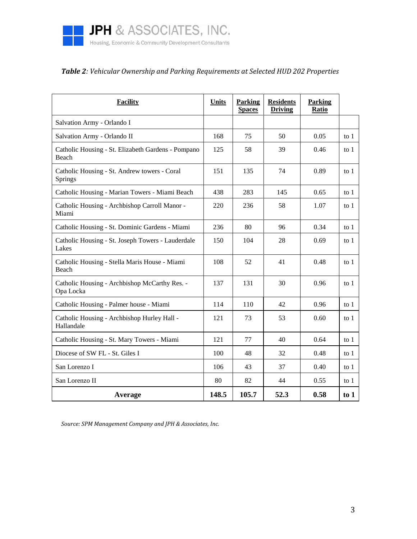

## *Table 2: Vehicular Ownership and Parking Requirements at Selected HUD 202 Properties*

| <b>Facility</b>                                                |       | <b>Parking</b><br><b>Spaces</b> | <b>Residents</b><br><b>Driving</b> | <b>Parking</b><br>Ratio |        |
|----------------------------------------------------------------|-------|---------------------------------|------------------------------------|-------------------------|--------|
| Salvation Army - Orlando I                                     |       |                                 |                                    |                         |        |
| Salvation Army - Orlando II                                    |       | 75                              | 50                                 | 0.05                    | to $1$ |
| Catholic Housing - St. Elizabeth Gardens - Pompano<br>Beach    | 125   | 58                              | 39                                 | 0.46                    | to $1$ |
| Catholic Housing - St. Andrew towers - Coral<br><b>Springs</b> | 151   | 135                             | 74                                 | 0.89                    | to $1$ |
| Catholic Housing - Marian Towers - Miami Beach                 | 438   | 283                             | 145                                | 0.65                    | to 1   |
| Catholic Housing - Archbishop Carroll Manor -<br>Miami         | 220   | 236                             | 58                                 | 1.07                    | to $1$ |
| Catholic Housing - St. Dominic Gardens - Miami                 | 236   | 80                              | 96                                 | 0.34                    | to 1   |
| Catholic Housing - St. Joseph Towers - Lauderdale<br>Lakes     | 150   | 104                             | 28                                 | 0.69                    | to 1   |
| Catholic Housing - Stella Maris House - Miami<br>Beach         | 108   | 52                              | 41                                 | 0.48                    | to $1$ |
| Catholic Housing - Archbishop McCarthy Res. -<br>Opa Locka     | 137   | 131                             | 30                                 | 0.96                    | to $1$ |
| Catholic Housing - Palmer house - Miami                        | 114   | 110                             | 42                                 | 0.96                    | to $1$ |
| Catholic Housing - Archbishop Hurley Hall -<br>Hallandale      | 121   | 73                              | 53                                 | 0.60                    | to $1$ |
| Catholic Housing - St. Mary Towers - Miami                     | 121   | 77                              | 40                                 | 0.64                    | to 1   |
| Diocese of SW FL - St. Giles I                                 | 100   | 48                              | 32                                 | 0.48                    | to $1$ |
| San Lorenzo I                                                  | 106   | 43                              | 37                                 | 0.40                    | to $1$ |
| San Lorenzo II                                                 | 80    | 82                              | 44                                 | 0.55                    | to 1   |
| Average                                                        | 148.5 | 105.7                           | 52.3                               | 0.58                    | to $1$ |

*Source: SPM Management Company and JPH & Associates, Inc.*